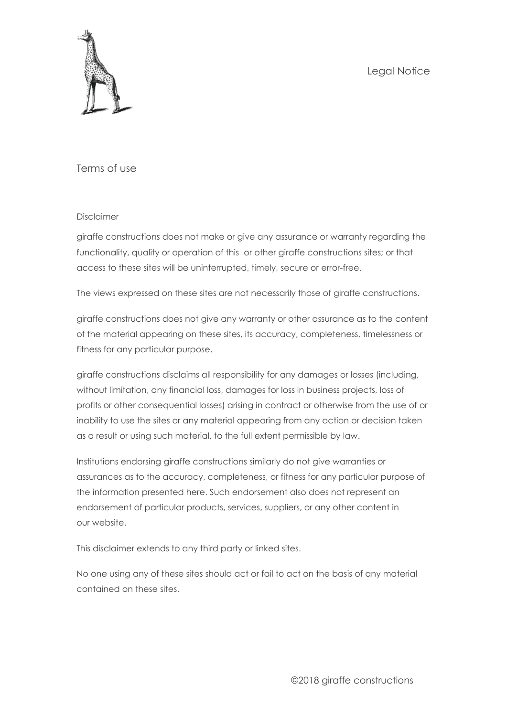Legal Notice



Terms of use

### Disclaimer

giraffe constructions does not make or give any assurance or warranty regarding the functionality, quality or operation of this or other giraffe constructions sites; or that access to these sites will be uninterrupted, timely, secure or error-free.

The views expressed on these sites are not necessarily those of giraffe constructions.

giraffe constructions does not give any warranty or other assurance as to the content of the material appearing on these sites, its accuracy, completeness, timelessness or fitness for any particular purpose.

giraffe constructions disclaims all responsibility for any damages or losses (including, without limitation, any financial loss, damages for loss in business projects, loss of profits or other consequential losses) arising in contract or otherwise from the use of or inability to use the sites or any material appearing from any action or decision taken as a result or using such material, to the full extent permissible by law.

Institutions endorsing giraffe constructions similarly do not give warranties or assurances as to the accuracy, completeness, or fitness for any particular purpose of the information presented here. Such endorsement also does not represent an endorsement of particular products, services, suppliers, or any other content in our website.

This disclaimer extends to any third party or linked sites.

No one using any of these sites should act or fail to act on the basis of any material contained on these sites.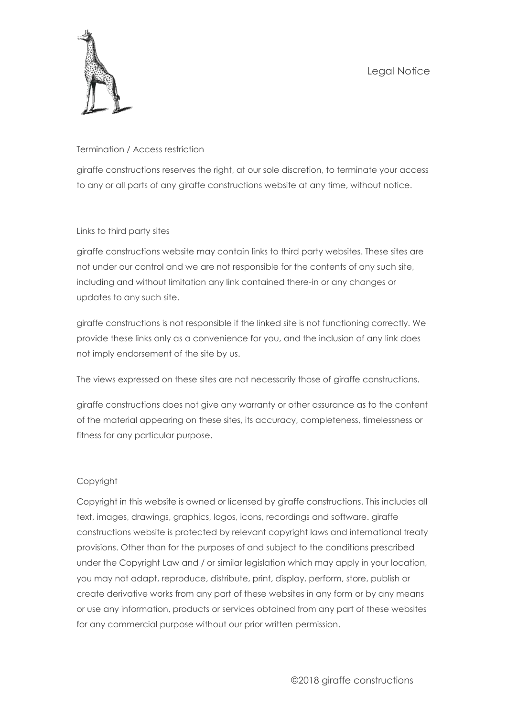

## Termination / Access restriction

giraffe constructions reserves the right, at our sole discretion, to terminate your access to any or all parts of any giraffe constructions website at any time, without notice.

## Links to third party sites

giraffe constructions website may contain links to third party websites. These sites are not under our control and we are not responsible for the contents of any such site, including and without limitation any link contained there-in or any changes or updates to any such site.

giraffe constructions is not responsible if the linked site is not functioning correctly. We provide these links only as a convenience for you, and the inclusion of any link does not imply endorsement of the site by us.

The views expressed on these sites are not necessarily those of giraffe constructions.

giraffe constructions does not give any warranty or other assurance as to the content of the material appearing on these sites, its accuracy, completeness, timelessness or fitness for any particular purpose.

# Copyright

Copyright in this website is owned or licensed by giraffe constructions. This includes all text, images, drawings, graphics, logos, icons, recordings and software. giraffe constructions website is protected by relevant copyright laws and international treaty provisions. Other than for the purposes of and subject to the conditions prescribed under the Copyright Law and / or similar legislation which may apply in your location, you may not adapt, reproduce, distribute, print, display, perform, store, publish or create derivative works from any part of these websites in any form or by any means or use any information, products or services obtained from any part of these websites for any commercial purpose without our prior written permission.